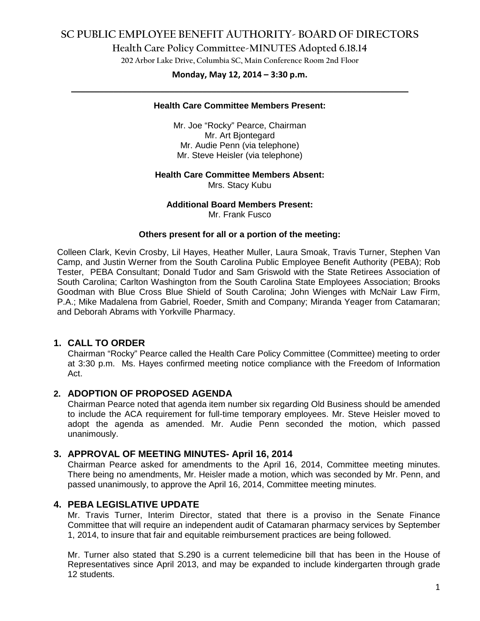# **SC PUBLIC EMPLOYEE BENEFIT AUTHORITY- BOARD OF DIRECTORS**

## **Health Care Policy Committee-MINUTES Adopted 6.18.14**

**202 Arbor Lake Drive, Columbia SC, Main Conference Room 2nd Floor**

# **Monday, May 12, 2014 – 3:30 p.m. \_\_\_\_\_\_\_\_\_\_\_\_\_\_\_\_\_\_\_\_\_\_\_\_\_\_\_\_\_\_\_\_\_\_\_\_\_\_\_\_\_\_\_\_\_\_\_\_\_\_\_\_\_\_\_\_\_\_\_\_\_\_\_\_\_\_\_\_\_\_\_\_**

### **Health Care Committee Members Present:**

Mr. Joe "Rocky" Pearce, Chairman Mr. Art Bjontegard Mr. Audie Penn (via telephone) Mr. Steve Heisler (via telephone)

### **Health Care Committee Members Absent:**

Mrs. Stacy Kubu

### **Additional Board Members Present:**

Mr. Frank Fusco

### **Others present for all or a portion of the meeting:**

Colleen Clark, Kevin Crosby, Lil Hayes, Heather Muller, Laura Smoak, Travis Turner, Stephen Van Camp, and Justin Werner from the South Carolina Public Employee Benefit Authority (PEBA); Rob Tester, PEBA Consultant; Donald Tudor and Sam Griswold with the State Retirees Association of South Carolina; Carlton Washington from the South Carolina State Employees Association; Brooks Goodman with Blue Cross Blue Shield of South Carolina; John Wienges with McNair Law Firm, P.A.; Mike Madalena from Gabriel, Roeder, Smith and Company; Miranda Yeager from Catamaran; and Deborah Abrams with Yorkville Pharmacy.

## **1. CALL TO ORDER**

Chairman "Rocky" Pearce called the Health Care Policy Committee (Committee) meeting to order at 3:30 p.m. Ms. Hayes confirmed meeting notice compliance with the Freedom of Information Act.

## **2. ADOPTION OF PROPOSED AGENDA**

Chairman Pearce noted that agenda item number six regarding Old Business should be amended to include the ACA requirement for full-time temporary employees. Mr. Steve Heisler moved to adopt the agenda as amended. Mr. Audie Penn seconded the motion, which passed unanimously.

## **3. APPROVAL OF MEETING MINUTES- April 16, 2014**

Chairman Pearce asked for amendments to the April 16, 2014, Committee meeting minutes. There being no amendments, Mr. Heisler made a motion, which was seconded by Mr. Penn, and passed unanimously, to approve the April 16, 2014, Committee meeting minutes.

## **4. PEBA LEGISLATIVE UPDATE**

Mr. Travis Turner, Interim Director, stated that there is a proviso in the Senate Finance Committee that will require an independent audit of Catamaran pharmacy services by September 1, 2014, to insure that fair and equitable reimbursement practices are being followed.

Mr. Turner also stated that S.290 is a current telemedicine bill that has been in the House of Representatives since April 2013, and may be expanded to include kindergarten through grade 12 students.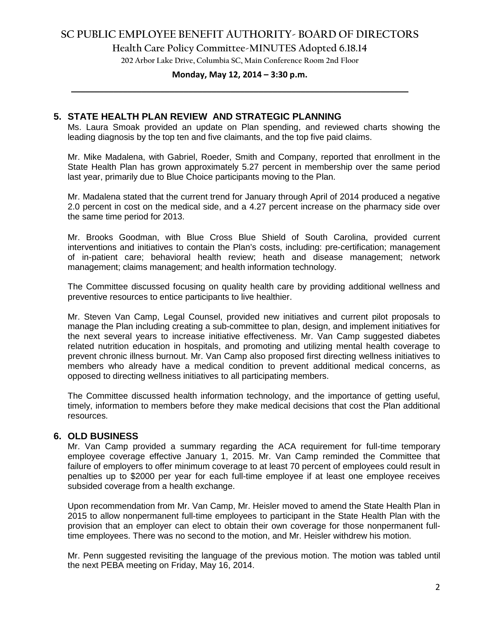# **SC PUBLIC EMPLOYEE BENEFIT AUTHORITY- BOARD OF DIRECTORS**

**Health Care Policy Committee-MINUTES Adopted 6.18.14**

**202 Arbor Lake Drive, Columbia SC, Main Conference Room 2nd Floor**

# **Monday, May 12, 2014 – 3:30 p.m. \_\_\_\_\_\_\_\_\_\_\_\_\_\_\_\_\_\_\_\_\_\_\_\_\_\_\_\_\_\_\_\_\_\_\_\_\_\_\_\_\_\_\_\_\_\_\_\_\_\_\_\_\_\_\_\_\_\_\_\_\_\_\_\_\_\_\_\_\_\_\_\_**

### **5. STATE HEALTH PLAN REVIEW AND STRATEGIC PLANNING**

Ms. Laura Smoak provided an update on Plan spending, and reviewed charts showing the leading diagnosis by the top ten and five claimants, and the top five paid claims.

Mr. Mike Madalena, with Gabriel, Roeder, Smith and Company, reported that enrollment in the State Health Plan has grown approximately 5.27 percent in membership over the same period last year, primarily due to Blue Choice participants moving to the Plan.

Mr. Madalena stated that the current trend for January through April of 2014 produced a negative 2.0 percent in cost on the medical side, and a 4.27 percent increase on the pharmacy side over the same time period for 2013.

Mr. Brooks Goodman, with Blue Cross Blue Shield of South Carolina, provided current interventions and initiatives to contain the Plan's costs, including: pre-certification; management of in-patient care; behavioral health review; heath and disease management; network management; claims management; and health information technology.

The Committee discussed focusing on quality health care by providing additional wellness and preventive resources to entice participants to live healthier.

Mr. Steven Van Camp, Legal Counsel, provided new initiatives and current pilot proposals to manage the Plan including creating a sub-committee to plan, design, and implement initiatives for the next several years to increase initiative effectiveness. Mr. Van Camp suggested diabetes related nutrition education in hospitals, and promoting and utilizing mental health coverage to prevent chronic illness burnout. Mr. Van Camp also proposed first directing wellness initiatives to members who already have a medical condition to prevent additional medical concerns, as opposed to directing wellness initiatives to all participating members.

The Committee discussed health information technology, and the importance of getting useful, timely, information to members before they make medical decisions that cost the Plan additional resources.

### **6. OLD BUSINESS**

Mr. Van Camp provided a summary regarding the ACA requirement for full-time temporary employee coverage effective January 1, 2015. Mr. Van Camp reminded the Committee that failure of employers to offer minimum coverage to at least 70 percent of employees could result in penalties up to \$2000 per year for each full-time employee if at least one employee receives subsided coverage from a health exchange.

Upon recommendation from Mr. Van Camp, Mr. Heisler moved to amend the State Health Plan in 2015 to allow nonpermanent full-time employees to participant in the State Health Plan with the provision that an employer can elect to obtain their own coverage for those nonpermanent fulltime employees. There was no second to the motion, and Mr. Heisler withdrew his motion.

Mr. Penn suggested revisiting the language of the previous motion. The motion was tabled until the next PEBA meeting on Friday, May 16, 2014.